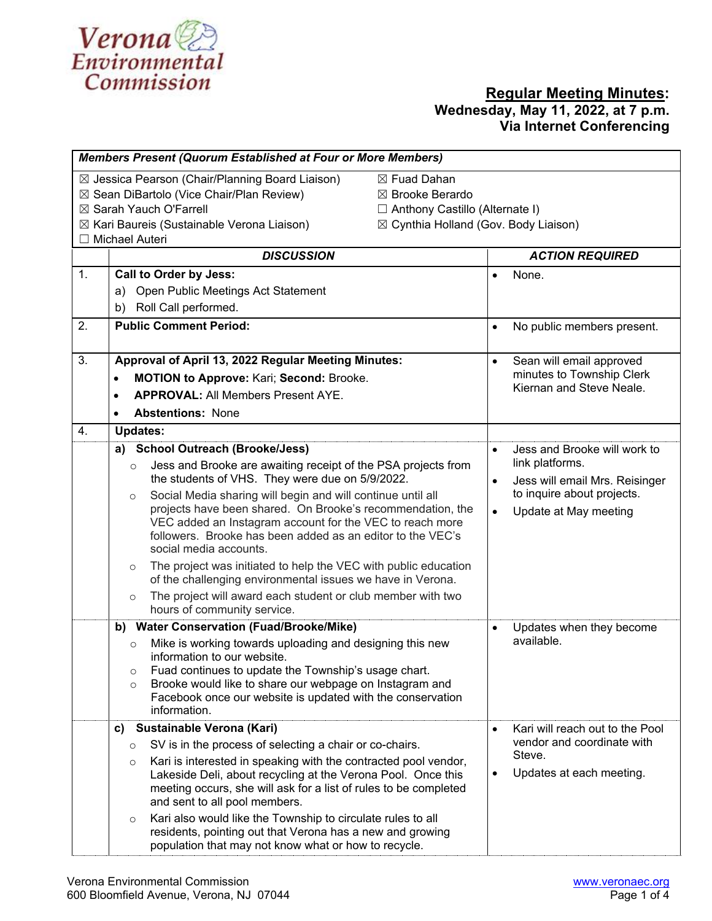

| <b>Members Present (Quorum Established at Four or More Members)</b>                                                                                                                                                                                                                                                                   |                                                                                                                                                                                                                                                                                                                                                                                                                                                                                                                                                                                                                                                                                                                            |                                                                                                                                                                                 |  |  |  |
|---------------------------------------------------------------------------------------------------------------------------------------------------------------------------------------------------------------------------------------------------------------------------------------------------------------------------------------|----------------------------------------------------------------------------------------------------------------------------------------------------------------------------------------------------------------------------------------------------------------------------------------------------------------------------------------------------------------------------------------------------------------------------------------------------------------------------------------------------------------------------------------------------------------------------------------------------------------------------------------------------------------------------------------------------------------------------|---------------------------------------------------------------------------------------------------------------------------------------------------------------------------------|--|--|--|
| $\boxtimes$ Jessica Pearson (Chair/Planning Board Liaison)<br>⊠ Fuad Dahan<br>⊠ Sean DiBartolo (Vice Chair/Plan Review)<br>⊠ Brooke Berardo<br>⊠ Sarah Yauch O'Farrell<br>$\Box$ Anthony Castillo (Alternate I)<br>⊠ Cynthia Holland (Gov. Body Liaison)<br>$\boxtimes$ Kari Baureis (Sustainable Verona Liaison)<br>□ Michael Auteri |                                                                                                                                                                                                                                                                                                                                                                                                                                                                                                                                                                                                                                                                                                                            |                                                                                                                                                                                 |  |  |  |
|                                                                                                                                                                                                                                                                                                                                       | <b>DISCUSSION</b>                                                                                                                                                                                                                                                                                                                                                                                                                                                                                                                                                                                                                                                                                                          | <b>ACTION REQUIRED</b>                                                                                                                                                          |  |  |  |
| 1.                                                                                                                                                                                                                                                                                                                                    | <b>Call to Order by Jess:</b><br>Open Public Meetings Act Statement<br>a)<br>b) Roll Call performed.                                                                                                                                                                                                                                                                                                                                                                                                                                                                                                                                                                                                                       | None.<br>$\bullet$                                                                                                                                                              |  |  |  |
| 2.                                                                                                                                                                                                                                                                                                                                    | <b>Public Comment Period:</b>                                                                                                                                                                                                                                                                                                                                                                                                                                                                                                                                                                                                                                                                                              | No public members present.<br>$\bullet$                                                                                                                                         |  |  |  |
| 3.                                                                                                                                                                                                                                                                                                                                    | Approval of April 13, 2022 Regular Meeting Minutes:<br>MOTION to Approve: Kari; Second: Brooke.<br>$\bullet$<br><b>APPROVAL: All Members Present AYE.</b><br>$\bullet$<br><b>Abstentions: None</b>                                                                                                                                                                                                                                                                                                                                                                                                                                                                                                                         | Sean will email approved<br>$\bullet$<br>minutes to Township Clerk<br>Kiernan and Steve Neale.                                                                                  |  |  |  |
| 4.                                                                                                                                                                                                                                                                                                                                    | <b>Updates:</b>                                                                                                                                                                                                                                                                                                                                                                                                                                                                                                                                                                                                                                                                                                            |                                                                                                                                                                                 |  |  |  |
|                                                                                                                                                                                                                                                                                                                                       | <b>School Outreach (Brooke/Jess)</b><br>a)<br>Jess and Brooke are awaiting receipt of the PSA projects from<br>$\circ$<br>the students of VHS. They were due on 5/9/2022.<br>Social Media sharing will begin and will continue until all<br>$\circ$<br>projects have been shared. On Brooke's recommendation, the<br>VEC added an Instagram account for the VEC to reach more<br>followers. Brooke has been added as an editor to the VEC's<br>social media accounts.<br>The project was initiated to help the VEC with public education<br>$\circ$<br>of the challenging environmental issues we have in Verona.<br>The project will award each student or club member with two<br>$\circ$<br>hours of community service. | Jess and Brooke will work to<br>$\bullet$<br>link platforms.<br>Jess will email Mrs. Reisinger<br>$\bullet$<br>to inquire about projects.<br>Update at May meeting<br>$\bullet$ |  |  |  |
|                                                                                                                                                                                                                                                                                                                                       | b) Water Conservation (Fuad/Brooke/Mike)                                                                                                                                                                                                                                                                                                                                                                                                                                                                                                                                                                                                                                                                                   | Updates when they become<br>$\bullet$                                                                                                                                           |  |  |  |
|                                                                                                                                                                                                                                                                                                                                       | Mike is working towards uploading and designing this new<br>$\circ$<br>information to our website.<br>Fuad continues to update the Township's usage chart.<br>Brooke would like to share our webpage on Instagram and<br>O<br>Facebook once our website is updated with the conservation<br>information.                                                                                                                                                                                                                                                                                                                                                                                                                   | available.                                                                                                                                                                      |  |  |  |
|                                                                                                                                                                                                                                                                                                                                       | Sustainable Verona (Kari)<br>C)                                                                                                                                                                                                                                                                                                                                                                                                                                                                                                                                                                                                                                                                                            | Kari will reach out to the Pool<br>$\bullet$                                                                                                                                    |  |  |  |
|                                                                                                                                                                                                                                                                                                                                       | SV is in the process of selecting a chair or co-chairs.<br>$\circ$<br>Kari is interested in speaking with the contracted pool vendor,<br>$\circ$<br>Lakeside Deli, about recycling at the Verona Pool. Once this<br>meeting occurs, she will ask for a list of rules to be completed<br>and sent to all pool members.<br>Kari also would like the Township to circulate rules to all<br>O                                                                                                                                                                                                                                                                                                                                  | vendor and coordinate with<br>Steve.<br>Updates at each meeting.                                                                                                                |  |  |  |
|                                                                                                                                                                                                                                                                                                                                       | residents, pointing out that Verona has a new and growing<br>population that may not know what or how to recycle.                                                                                                                                                                                                                                                                                                                                                                                                                                                                                                                                                                                                          |                                                                                                                                                                                 |  |  |  |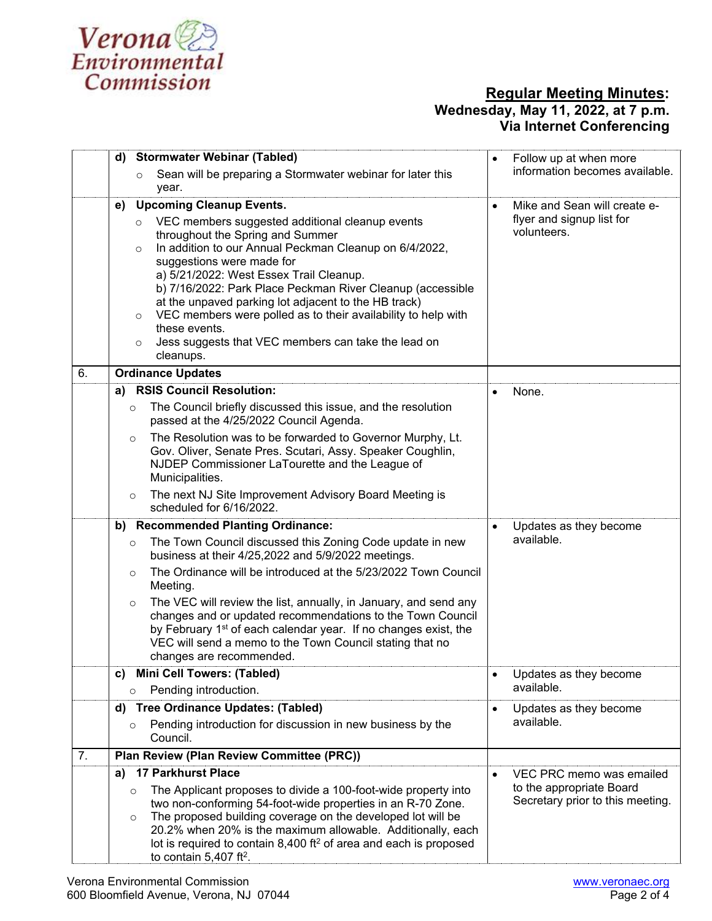

|    | d)      | <b>Stormwater Webinar (Tabled)</b>                                                                                                        | $\bullet$ | Follow up at when more                                       |
|----|---------|-------------------------------------------------------------------------------------------------------------------------------------------|-----------|--------------------------------------------------------------|
|    |         | Sean will be preparing a Stormwater webinar for later this<br>$\circ$                                                                     |           | information becomes available.                               |
|    |         | year.                                                                                                                                     |           |                                                              |
|    | e)      | <b>Upcoming Cleanup Events.</b>                                                                                                           | $\bullet$ | Mike and Sean will create e-                                 |
|    |         | VEC members suggested additional cleanup events<br>$\circ$                                                                                |           | flyer and signup list for<br>volunteers.                     |
|    | $\circ$ | throughout the Spring and Summer<br>In addition to our Annual Peckman Cleanup on 6/4/2022,                                                |           |                                                              |
|    |         | suggestions were made for                                                                                                                 |           |                                                              |
|    |         | a) 5/21/2022: West Essex Trail Cleanup.                                                                                                   |           |                                                              |
|    |         | b) 7/16/2022: Park Place Peckman River Cleanup (accessible                                                                                |           |                                                              |
|    | $\circ$ | at the unpaved parking lot adjacent to the HB track)<br>VEC members were polled as to their availability to help with                     |           |                                                              |
|    |         | these events.                                                                                                                             |           |                                                              |
|    | $\circ$ | Jess suggests that VEC members can take the lead on                                                                                       |           |                                                              |
|    |         | cleanups.                                                                                                                                 |           |                                                              |
| 6. |         | <b>Ordinance Updates</b>                                                                                                                  |           |                                                              |
|    |         | a) RSIS Council Resolution:                                                                                                               |           | None.                                                        |
|    | $\circ$ | The Council briefly discussed this issue, and the resolution<br>passed at the 4/25/2022 Council Agenda.                                   |           |                                                              |
|    | $\circ$ | The Resolution was to be forwarded to Governor Murphy, Lt.                                                                                |           |                                                              |
|    |         | Gov. Oliver, Senate Pres. Scutari, Assy. Speaker Coughlin,<br>NJDEP Commissioner LaTourette and the League of                             |           |                                                              |
|    |         | Municipalities.                                                                                                                           |           |                                                              |
|    | $\circ$ | The next NJ Site Improvement Advisory Board Meeting is                                                                                    |           |                                                              |
|    |         | scheduled for 6/16/2022.                                                                                                                  |           |                                                              |
|    |         | b) Recommended Planting Ordinance:                                                                                                        | $\bullet$ | Updates as they become                                       |
|    | $\circ$ | The Town Council discussed this Zoning Code update in new<br>business at their 4/25,2022 and 5/9/2022 meetings.                           |           | available.                                                   |
|    | $\circ$ | The Ordinance will be introduced at the 5/23/2022 Town Council<br>Meeting.                                                                |           |                                                              |
|    | $\circ$ | The VEC will review the list, annually, in January, and send any                                                                          |           |                                                              |
|    |         | changes and or updated recommendations to the Town Council<br>by February 1 <sup>st</sup> of each calendar year. If no changes exist, the |           |                                                              |
|    |         | VEC will send a memo to the Town Council stating that no                                                                                  |           |                                                              |
|    |         | changes are recommended.                                                                                                                  |           |                                                              |
|    |         | c) Mini Cell Towers: (Tabled)                                                                                                             |           | Updates as they become                                       |
|    | $\circ$ | Pending introduction.                                                                                                                     |           | available.                                                   |
|    | d)      | <b>Tree Ordinance Updates: (Tabled)</b>                                                                                                   | $\bullet$ | Updates as they become                                       |
|    | $\circ$ | Pending introduction for discussion in new business by the<br>Council.                                                                    |           | available.                                                   |
| 7. |         | Plan Review (Plan Review Committee (PRC))                                                                                                 |           |                                                              |
|    | a)      | 17 Parkhurst Place                                                                                                                        | $\bullet$ | VEC PRC memo was emailed                                     |
|    | $\circ$ | The Applicant proposes to divide a 100-foot-wide property into                                                                            |           | to the appropriate Board<br>Secretary prior to this meeting. |
|    | $\circ$ | two non-conforming 54-foot-wide properties in an R-70 Zone.<br>The proposed building coverage on the developed lot will be                |           |                                                              |
|    |         | 20.2% when 20% is the maximum allowable. Additionally, each                                                                               |           |                                                              |
|    |         | lot is required to contain $8,400$ ft <sup>2</sup> of area and each is proposed                                                           |           |                                                              |
|    |         | to contain $5,407$ ft <sup>2</sup> .                                                                                                      |           |                                                              |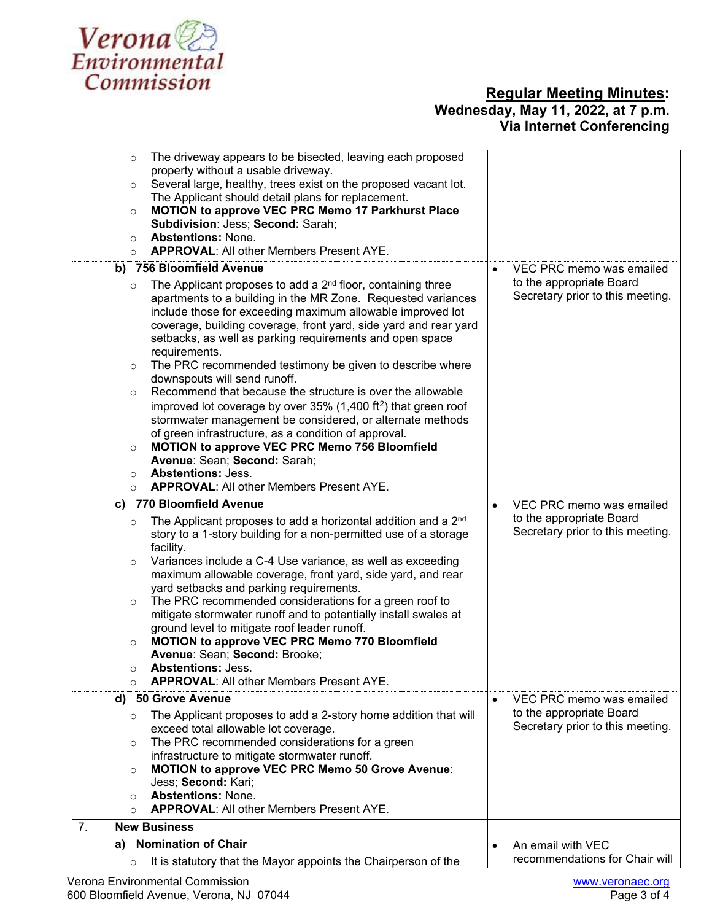

|    | The driveway appears to be bisected, leaving each proposed<br>$\circ$<br>property without a usable driveway.                                                                                                                                                                                                                                                                                                                                                                                                                                                                                                                                                                                                                                   |                                                                  |
|----|------------------------------------------------------------------------------------------------------------------------------------------------------------------------------------------------------------------------------------------------------------------------------------------------------------------------------------------------------------------------------------------------------------------------------------------------------------------------------------------------------------------------------------------------------------------------------------------------------------------------------------------------------------------------------------------------------------------------------------------------|------------------------------------------------------------------|
|    | Several large, healthy, trees exist on the proposed vacant lot.<br>$\circ$<br>The Applicant should detail plans for replacement.                                                                                                                                                                                                                                                                                                                                                                                                                                                                                                                                                                                                               |                                                                  |
|    | MOTION to approve VEC PRC Memo 17 Parkhurst Place<br>$\circ$<br>Subdivision: Jess; Second: Sarah;                                                                                                                                                                                                                                                                                                                                                                                                                                                                                                                                                                                                                                              |                                                                  |
|    | Abstentions: None.<br>$\circ$<br><b>APPROVAL: All other Members Present AYE.</b><br>$\Omega$                                                                                                                                                                                                                                                                                                                                                                                                                                                                                                                                                                                                                                                   |                                                                  |
|    | b) 756 Bloomfield Avenue                                                                                                                                                                                                                                                                                                                                                                                                                                                                                                                                                                                                                                                                                                                       | VEC PRC memo was emailed                                         |
|    | The Applicant proposes to add a 2 <sup>nd</sup> floor, containing three<br>$\circ$                                                                                                                                                                                                                                                                                                                                                                                                                                                                                                                                                                                                                                                             | to the appropriate Board                                         |
|    | apartments to a building in the MR Zone. Requested variances<br>include those for exceeding maximum allowable improved lot<br>coverage, building coverage, front yard, side yard and rear yard<br>setbacks, as well as parking requirements and open space<br>requirements.<br>The PRC recommended testimony be given to describe where<br>$\circ$<br>downspouts will send runoff.<br>Recommend that because the structure is over the allowable<br>$\circ$<br>improved lot coverage by over $35\%$ (1,400 ft <sup>2</sup> ) that green roof<br>stormwater management be considered, or alternate methods<br>of green infrastructure, as a condition of approval.<br><b>MOTION to approve VEC PRC Memo 756 Bloomfield</b><br>$\circ$           | Secretary prior to this meeting.                                 |
|    | Avenue: Sean; Second: Sarah;                                                                                                                                                                                                                                                                                                                                                                                                                                                                                                                                                                                                                                                                                                                   |                                                                  |
|    | <b>Abstentions: Jess.</b><br>$\circ$                                                                                                                                                                                                                                                                                                                                                                                                                                                                                                                                                                                                                                                                                                           |                                                                  |
|    | <b>APPROVAL: All other Members Present AYE.</b><br>$\circ$                                                                                                                                                                                                                                                                                                                                                                                                                                                                                                                                                                                                                                                                                     |                                                                  |
|    | 770 Bloomfield Avenue<br>C)                                                                                                                                                                                                                                                                                                                                                                                                                                                                                                                                                                                                                                                                                                                    | VEC PRC memo was emailed                                         |
|    | The Applicant proposes to add a horizontal addition and a 2 <sup>nd</sup><br>$\circ$<br>story to a 1-story building for a non-permitted use of a storage<br>facility.<br>Variances include a C-4 Use variance, as well as exceeding<br>$\circ$<br>maximum allowable coverage, front yard, side yard, and rear<br>yard setbacks and parking requirements.<br>The PRC recommended considerations for a green roof to<br>$\circ$<br>mitigate stormwater runoff and to potentially install swales at<br>ground level to mitigate roof leader runoff.<br><b>MOTION to approve VEC PRC Memo 770 Bloomfield</b><br>$\circ$<br>Avenue: Sean; Second: Brooke;<br><b>Abstentions: Jess.</b><br>O<br><b>APPROVAL: All other Members Present AYE.</b><br>O | to the appropriate Board<br>Secretary prior to this meeting.     |
|    | d) 50 Grove Avenue                                                                                                                                                                                                                                                                                                                                                                                                                                                                                                                                                                                                                                                                                                                             | VEC PRC memo was emailed<br>$\bullet$                            |
|    | The Applicant proposes to add a 2-story home addition that will<br>$\circ$<br>exceed total allowable lot coverage.                                                                                                                                                                                                                                                                                                                                                                                                                                                                                                                                                                                                                             | to the appropriate Board<br>Secretary prior to this meeting.     |
|    | The PRC recommended considerations for a green<br>$\circ$                                                                                                                                                                                                                                                                                                                                                                                                                                                                                                                                                                                                                                                                                      |                                                                  |
|    | infrastructure to mitigate stormwater runoff.<br><b>MOTION to approve VEC PRC Memo 50 Grove Avenue:</b><br>$\circ$<br>Jess; Second: Kari;                                                                                                                                                                                                                                                                                                                                                                                                                                                                                                                                                                                                      |                                                                  |
|    | <b>Abstentions: None.</b><br>O<br><b>APPROVAL: All other Members Present AYE.</b>                                                                                                                                                                                                                                                                                                                                                                                                                                                                                                                                                                                                                                                              |                                                                  |
| 7. | $\circ$<br><b>New Business</b>                                                                                                                                                                                                                                                                                                                                                                                                                                                                                                                                                                                                                                                                                                                 |                                                                  |
|    | <b>Nomination of Chair</b>                                                                                                                                                                                                                                                                                                                                                                                                                                                                                                                                                                                                                                                                                                                     |                                                                  |
|    | a)<br>It is statutory that the Mayor appoints the Chairperson of the<br>$\circ$                                                                                                                                                                                                                                                                                                                                                                                                                                                                                                                                                                                                                                                                | An email with VEC<br>$\bullet$<br>recommendations for Chair will |
|    |                                                                                                                                                                                                                                                                                                                                                                                                                                                                                                                                                                                                                                                                                                                                                |                                                                  |